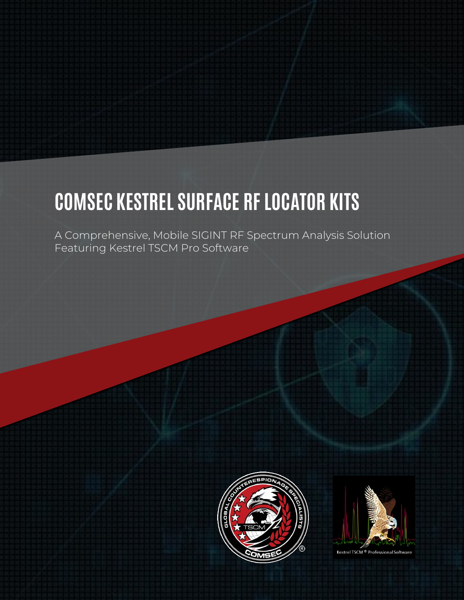# **COMSEC KESTREL SURFACE RF LOCATOR KITS**

A Comprehensive, Mobile SIGINT RF Spectrum Analysis Solution Featuring Kestrel TSCM Pro Software





Kestrel TSCM<sup>®</sup> Professional Softw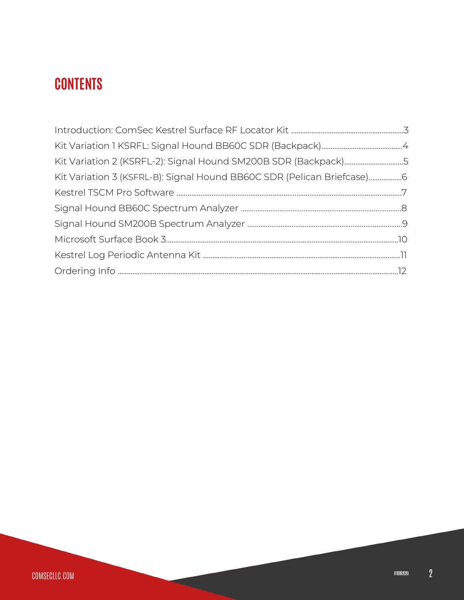# **CONTENTS**

| Kit Variation 2 (KSRFL-2): Signal Hound SM200B SDR (Backpack)5         |  |
|------------------------------------------------------------------------|--|
| Kit Variation 3 (KSFRL-B): Signal Hound BB60C SDR (Pelican Briefcase)6 |  |
|                                                                        |  |
|                                                                        |  |
|                                                                        |  |
|                                                                        |  |
|                                                                        |  |
|                                                                        |  |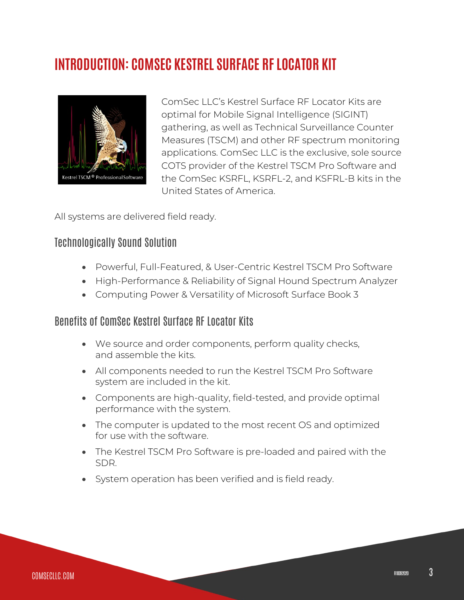## **INTRODUCTION: COMSEC KESTREL SURFACE RF LOCATOR KIT**



ComSec LLC's Kestrel Surface RF Locator Kits are optimal for Mobile Signal Intelligence (SIGINT) gathering, as well as Technical Surveillance Counter Measures (TSCM) and other RF spectrum monitoring applications. ComSec LLC is the exclusive, sole source COTS provider of the Kestrel TSCM Pro Software and the ComSec KSRFL, KSRFL-2, and KSFRL-B kits in the United States of America.

All systems are delivered field ready.

#### Technologically Sound Solution

- Powerful, Full-Featured, & User-Centric Kestrel TSCM Pro Software
- High-Performance & Reliability of Signal Hound Spectrum Analyzer
- Computing Power & Versatility of Microsoft Surface Book 3

#### Benefits of ComSec Kestrel Surface RF Locator Kits

- We source and order components, perform quality checks, and assemble the kits.
- All components needed to run the Kestrel TSCM Pro Software system are included in the kit.
- Components are high-quality, field-tested, and provide optimal performance with the system.
- The computer is updated to the most recent OS and optimized for use with the software.
- The Kestrel TSCM Pro Software is pre-loaded and paired with the SDR.
- System operation has been verified and is field ready.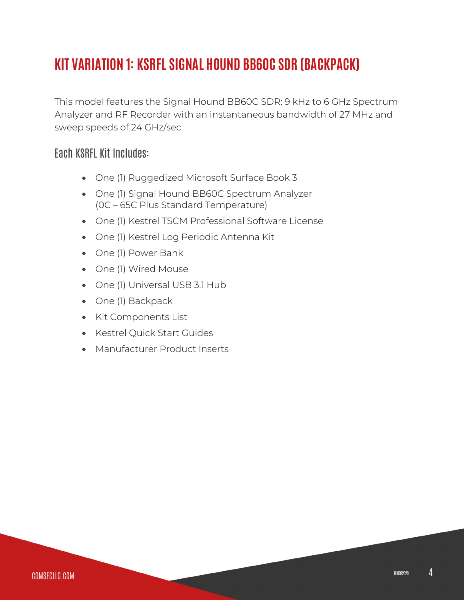# **KIT VARIATION 1: KSRFL SIGNAL HOUND BB60C SDR (BACKPACK)**

This model features the Signal Hound BB60C SDR: 9 kHz to 6 GHz Spectrum Analyzer and RF Recorder with an instantaneous bandwidth of 27 MHz and sweep speeds of 24 GHz/sec.

#### Each KSRFL Kit Includes:

- One (1) Ruggedized Microsoft Surface Book 3
- One (1) Signal Hound BB60C Spectrum Analyzer (0C – 65C Plus Standard Temperature)
- One (1) Kestrel TSCM Professional Software License
- One (1) Kestrel Log Periodic Antenna Kit
- One (1) Power Bank
- One (1) Wired Mouse
- One (1) Universal USB 3.1 Hub
- One (1) Backpack
- Kit Components List
- Kestrel Quick Start Guides
- Manufacturer Product Inserts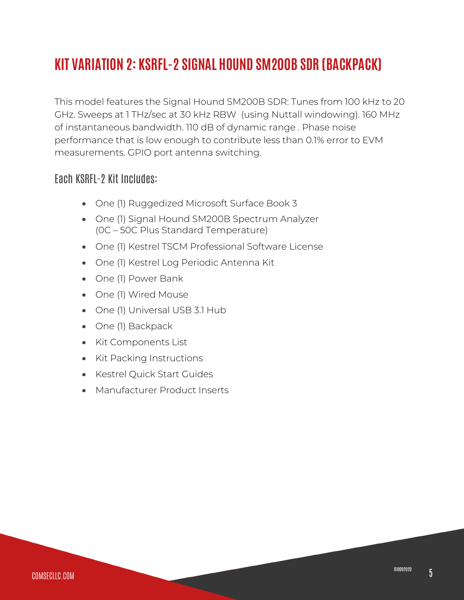# **KIT VARIATION 2: KSRFL-2 SIGNAL HOUND SM200B SDR (BACKPACK)**

This model features the Signal Hound SM200B SDR: Tunes from 100 kHz to 20 GHz. Sweeps at 1 THz/sec at 30 kHz RBW (using Nuttall windowing). 160 MHz of instantaneous bandwidth. 110 dB of dynamic range . Phase noise performance that is low enough to contribute less than 0.1% error to EVM measurements. GPIO port antenna switching.

#### Each KSRFL-2 Kit Includes:

- One (1) Ruggedized Microsoft Surface Book 3
- One (1) Signal Hound SM200B Spectrum Analyzer (0C – 50C Plus Standard Temperature)
- One (1) Kestrel TSCM Professional Software License

- One (1) Kestrel Log Periodic Antenna Kit
- One (1) Power Bank
- One (1) Wired Mouse
- One (1) Universal USB 3.1 Hub
- One (1) Backpack
- Kit Components List
- Kit Packing Instructions
- Kestrel Quick Start Guides
- Manufacturer Product Inserts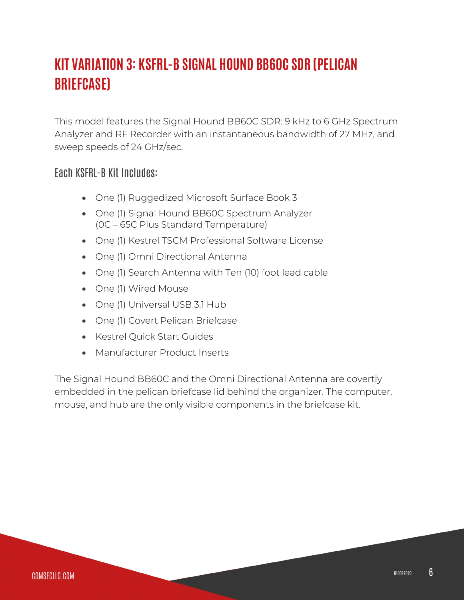# **KIT VARIATION 3: KSFRL-B SIGNAL HOUND BB60C SDR (PELICAN BRIEFCASE)**

This model features the Signal Hound BB60C SDR: 9 kHz to 6 GHz Spectrum Analyzer and RF Recorder with an instantaneous bandwidth of 27 MHz, and sweep speeds of 24 GHz/sec.

#### Each KSFRL-B Kit Includes:

- One (1) Ruggedized Microsoft Surface Book 3
- One (1) Signal Hound BB60C Spectrum Analyzer (0C – 65C Plus Standard Temperature)
- One (1) Kestrel TSCM Professional Software License
- One (1) Omni Directional Antenna
- One (1) Search Antenna with Ten (10) foot lead cable
- One (1) Wired Mouse
- One (1) Universal USB 3.1 Hub
- One (1) Covert Pelican Briefcase
- Kestrel Quick Start Guides
- Manufacturer Product Inserts

The Signal Hound BB60C and the Omni Directional Antenna are covertly embedded in the pelican briefcase lid behind the organizer. The computer, mouse, and hub are the only visible components in the briefcase kit.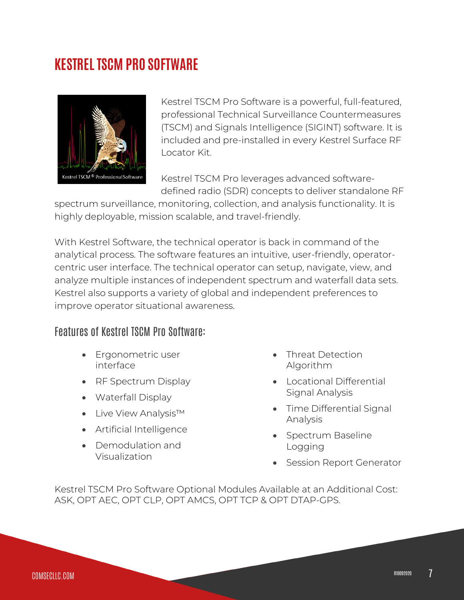### **KESTREL TSCM PRO SOFTWARE**



Kestrel TSCM Pro Software is a powerful, full-featured, professional Technical Surveillance Countermeasures (TSCM) and Signals Intelligence (SIGINT) software. It is included and pre-installed in every Kestrel Surface RF Locator Kit.

Kestrel TSCM Pro leverages advanced softwaredefined radio (SDR) concepts to deliver standalone RF

spectrum surveillance, monitoring, collection, and analysis functionality. It is highly deployable, mission scalable, and travel-friendly.

With Kestrel Software, the technical operator is back in command of the analytical process. The software features an intuitive, user-friendly, operatorcentric user interface. The technical operator can setup, navigate, view, and analyze multiple instances of independent spectrum and waterfall data sets. Kestrel also supports a variety of global and independent preferences to improve operator situational awareness.

#### Features of Kestrel TSCM Pro Software:

- Ergonometric user interface
- RF Spectrum Display
- Waterfall Display
- Live View Analysis™
- Artificial Intelligence
- Demodulation and Visualization
- Threat Detection Algorithm
- Locational Differential Signal Analysis
- Time Differential Signal Analysis
- Spectrum Baseline Logging
- Session Report Generator

Kestrel TSCM Pro Software Optional Modules Available at an Additional Cost: ASK, OPT AEC, OPT CLP, OPT AMCS, OPT TCP & OPT DTAP-GPS.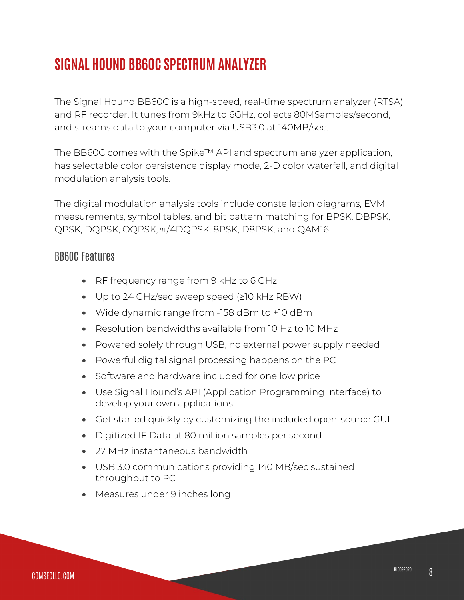## **SIGNAL HOUND BB60C SPECTRUM ANALYZER**

The Signal Hound BB60C is a high-speed, real-time spectrum analyzer (RTSA) and RF recorder. It tunes from 9kHz to 6GHz, collects 80MSamples/second, and streams data to your computer via USB3.0 at 140MB/sec.

The BB60C comes with the Spike™ API and spectrum analyzer application, has selectable color persistence display mode, 2-D color waterfall, and digital modulation analysis tools.

The digital modulation analysis tools include constellation diagrams, EVM measurements, symbol tables, and bit pattern matching for BPSK, DBPSK, QPSK, DQPSK, OQPSK, π/4DQPSK, 8PSK, D8PSK, and QAM16.

#### BB60C Features

- RF frequency range from 9 kHz to 6 GHz
- Up to 24 GHz/sec sweep speed (≥10 kHz RBW)
- Wide dynamic range from -158 dBm to +10 dBm
- Resolution bandwidths available from 10 Hz to 10 MHz
- Powered solely through USB, no external power supply needed
- Powerful digital signal processing happens on the PC
- Software and hardware included for one low price
- Use Signal Hound's API (Application Programming Interface) to develop your own applications
- Get started quickly by customizing the included open-source GUI
- Digitized IF Data at 80 million samples per second

- 27 MHz instantaneous bandwidth
- USB 3.0 communications providing 140 MB/sec sustained throughput to PC
- Measures under 9 inches long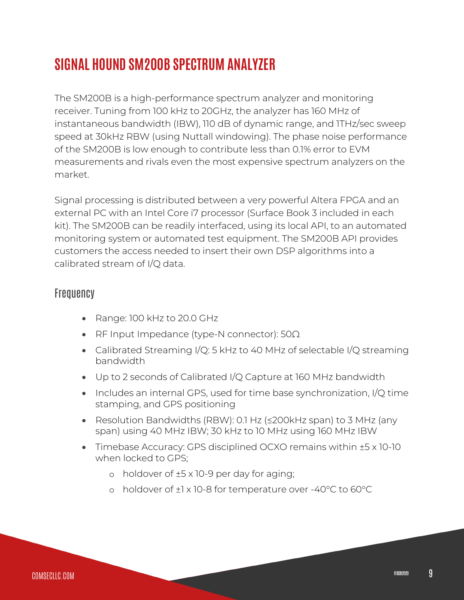### **SIGNAL HOUND SM200B SPECTRUM ANALYZER**

The SM200B is a high-performance spectrum analyzer and monitoring receiver. Tuning from 100 kHz to 20GHz, the analyzer has 160 MHz of instantaneous bandwidth (IBW), 110 dB of dynamic range, and 1THz/sec sweep speed at 30kHz RBW (using Nuttall windowing). The phase noise performance of the SM200B is low enough to contribute less than 0.1% error to EVM measurements and rivals even the most expensive spectrum analyzers on the market.

Signal processing is distributed between a very powerful Altera FPGA and an external PC with an Intel Core i7 processor (Surface Book 3 included in each kit). The SM200B can be readily interfaced, using its local API, to an automated monitoring system or automated test equipment. The SM200B API provides customers the access needed to insert their own DSP algorithms into a calibrated stream of I/Q data.

#### **Frequency**

- Range: 100 kHz to 20.0 GHz
- RF Input Impedance (type-N connector): 50Ω
- Calibrated Streaming I/Q: 5 kHz to 40 MHz of selectable I/Q streaming bandwidth
- Up to 2 seconds of Calibrated I/Q Capture at 160 MHz bandwidth
- Includes an internal GPS, used for time base synchronization, I/Q time stamping, and GPS positioning
- Resolution Bandwidths (RBW): 0.1 Hz (≤200kHz span) to 3 MHz (any span) using 40 MHz IBW; 30 kHz to 10 MHz using 160 MHz IBW
- Timebase Accuracy: GPS disciplined OCXO remains within ±5 x 10-10 when locked to GPS;
	- o holdover of ±5 x 10-9 per day for aging;
	- o holdover of ±1 x 10-8 for temperature over -40°C to 60°C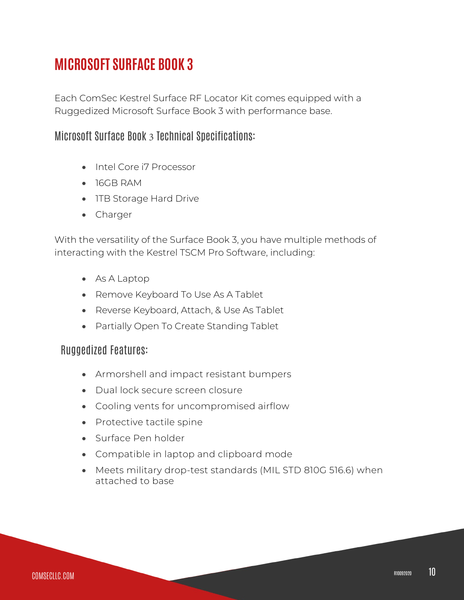### **MICROSOFT SURFACE BOOK 3**

Each ComSec Kestrel Surface RF Locator Kit comes equipped with a Ruggedized Microsoft Surface Book 3 with performance base.

#### Microsoft Surface Book 3 Technical Specifications:

- Intel Core i7 Processor
- 16GB RAM
- 1TB Storage Hard Drive
- Charger

With the versatility of the Surface Book 3, you have multiple methods of interacting with the Kestrel TSCM Pro Software, including:

- As A Laptop
- Remove Keyboard To Use As A Tablet
- Reverse Keyboard, Attach, & Use As Tablet
- Partially Open To Create Standing Tablet

#### Ruggedized Features:

- Armorshell and impact resistant bumpers
- Dual lock secure screen closure
- Cooling vents for uncompromised airflow
- Protective tactile spine
- Surface Pen holder
- Compatible in laptop and clipboard mode
- Meets military drop-test standards (MIL STD 810G 516.6) when attached to base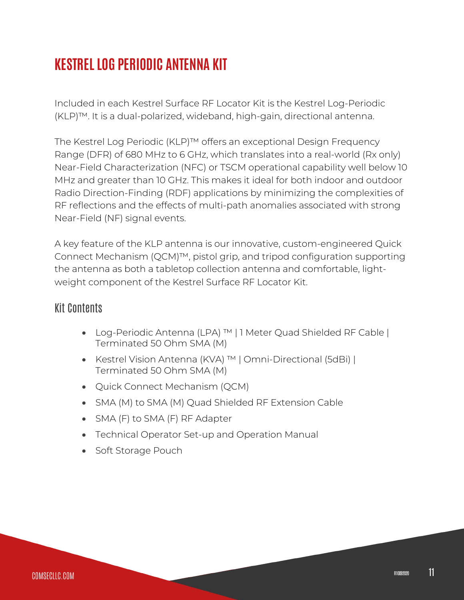# **KESTREL LOG PERIODIC ANTENNA KIT**

Included in each Kestrel Surface RF Locator Kit is the Kestrel Log-Periodic (KLP)™. It is a dual-polarized, wideband, high-gain, directional antenna.

The Kestrel Log Periodic (KLP)™ offers an exceptional Design Frequency Range (DFR) of 680 MHz to 6 GHz, which translates into a real-world (Rx only) Near-Field Characterization (NFC) or TSCM operational capability well below 10 MHz and greater than 10 GHz. This makes it ideal for both indoor and outdoor Radio Direction-Finding (RDF) applications by minimizing the complexities of RF reflections and the effects of multi-path anomalies associated with strong Near-Field (NF) signal events.

A key feature of the KLP antenna is our innovative, custom-engineered Quick Connect Mechanism (QCM)™, pistol grip, and tripod configuration supporting the antenna as both a tabletop collection antenna and comfortable, lightweight component of the Kestrel Surface RF Locator Kit.

#### Kit Contents

- Log-Periodic Antenna (LPA) ™ | 1 Meter Quad Shielded RF Cable | Terminated 50 Ohm SMA (M)
- Kestrel Vision Antenna (KVA) ™ | Omni-Directional (5dBi) | Terminated 50 Ohm SMA (M)
- Quick Connect Mechanism (QCM)
- SMA (M) to SMA (M) Quad Shielded RF Extension Cable
- SMA (F) to SMA (F) RF Adapter
- Technical Operator Set-up and Operation Manual
- Soft Storage Pouch